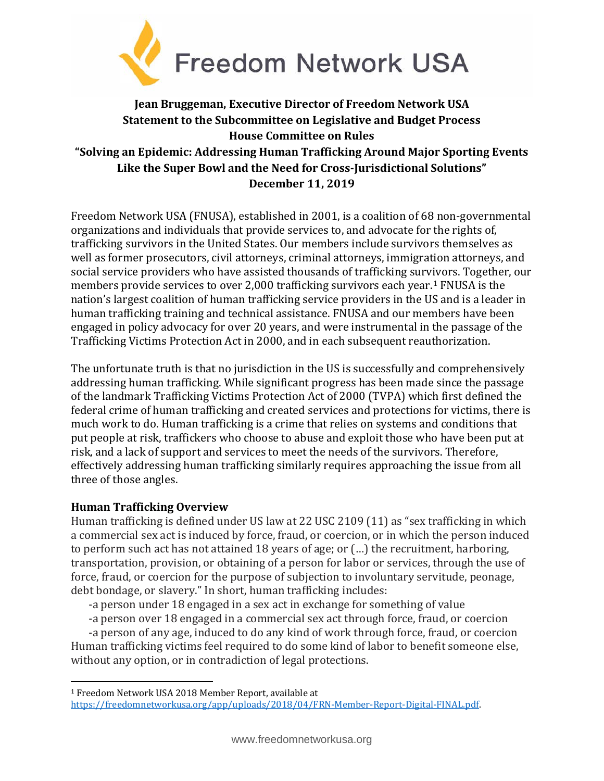

# **Jean Bruggeman, Executive Director of Freedom Network USA Statement to the Subcommittee on Legislative and Budget Process House Committee on Rules "Solving an Epidemic: Addressing Human Trafficking Around Major Sporting Events Like the Super Bowl and the Need for Cross-Jurisdictional Solutions" December 11, 2019**

Freedom Network USA (FNUSA), established in 2001, is a coalition of 68 non-governmental organizations and individuals that provide services to, and advocate for the rights of, trafficking survivors in the United States. Our members include survivors themselves as well as former prosecutors, civil attorneys, criminal attorneys, immigration attorneys, and social service providers who have assisted thousands of trafficking survivors. Together, our members provide services to over 2,000 trafficking survivors each year.[1](#page-0-0) FNUSA is the nation's largest coalition of human trafficking service providers in the US and is a leader in human trafficking training and technical assistance. FNUSA and our members have been engaged in policy advocacy for over 20 years, and were instrumental in the passage of the Trafficking Victims Protection Act in 2000, and in each subsequent reauthorization.

The unfortunate truth is that no jurisdiction in the US is successfully and comprehensively addressing human trafficking. While significant progress has been made since the passage of the landmark Trafficking Victims Protection Act of 2000 (TVPA) which first defined the federal crime of human trafficking and created services and protections for victims, there is much work to do. Human trafficking is a crime that relies on systems and conditions that put people at risk, traffickers who choose to abuse and exploit those who have been put at risk, and a lack of support and services to meet the needs of the survivors. Therefore, effectively addressing human trafficking similarly requires approaching the issue from all three of those angles.

# **Human Trafficking Overview**

 $\overline{a}$ 

Human trafficking is defined under US law at 22 USC 2109 (11) as "sex trafficking in which a commercial sex act is induced by force, fraud, or coercion, or in which the person induced to perform such act has not attained 18 years of age; or (…) the recruitment, harboring, transportation, provision, or obtaining of a person for labor or services, through the use of force, fraud, or coercion for the purpose of subjection to involuntary servitude, peonage, debt bondage, or slavery." In short, human trafficking includes:

- -a person under 18 engaged in a sex act in exchange for something of value
- -a person over 18 engaged in a commercial sex act through force, fraud, or coercion

-a person of any age, induced to do any kind of work through force, fraud, or coercion Human trafficking victims feel required to do some kind of labor to benefit someone else, without any option, or in contradiction of legal protections.

<span id="page-0-0"></span><sup>1</sup> Freedom Network USA 2018 Member Report, available at [https://freedomnetworkusa.org/app/uploads/2018/04/FRN-Member-Report-Digital-FINAL.pdf.](https://freedomnetworkusa.org/app/uploads/2018/04/FRN-Member-Report-Digital-FINAL.pdf)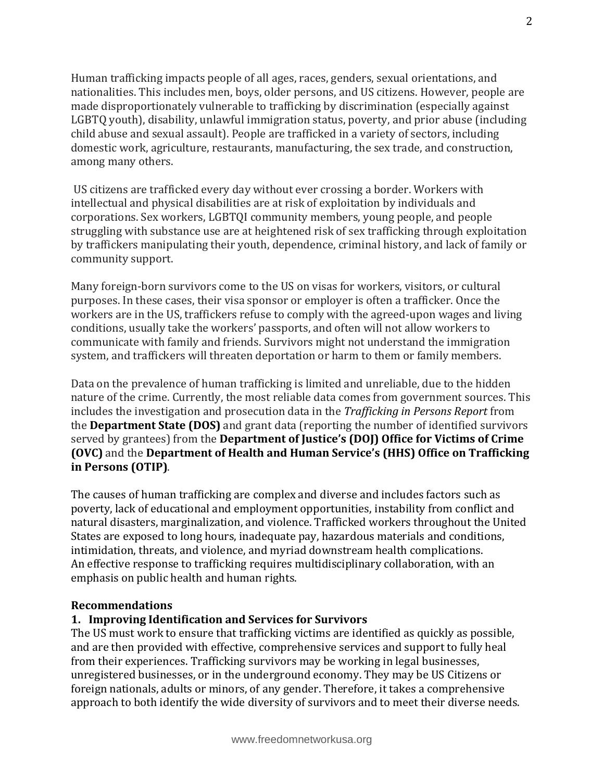Human trafficking impacts people of all ages, races, genders, sexual orientations, and nationalities. This includes men, boys, older persons, and US citizens. However, people are made disproportionately vulnerable to trafficking by discrimination (especially against LGBTQ youth), disability, unlawful immigration status, poverty, and prior abuse (including child abuse and sexual assault). People are trafficked in a variety of sectors, including domestic work, agriculture, restaurants, manufacturing, the sex trade, and construction, among many others.

US citizens are trafficked every day without ever crossing a border. Workers with intellectual and physical disabilities are at risk of exploitation by individuals and corporations. Sex workers, LGBTQI community members, young people, and people struggling with substance use are at heightened risk of sex trafficking through exploitation by traffickers manipulating their youth, dependence, criminal history, and lack of family or community support.

Many foreign-born survivors come to the US on visas for workers, visitors, or cultural purposes. In these cases, their visa sponsor or employer is often a trafficker. Once the workers are in the US, traffickers refuse to comply with the agreed-upon wages and living conditions, usually take the workers' passports, and often will not allow workers to communicate with family and friends. Survivors might not understand the immigration system, and traffickers will threaten deportation or harm to them or family members.

Data on the prevalence of human trafficking is limited and unreliable, due to the hidden nature of the crime. Currently, the most reliable data comes from government sources. This includes the investigation and prosecution data in the *Trafficking in Persons Report* from the **Department State (DOS)** and grant data (reporting the number of identified survivors served by grantees) from the **Department of Justice's (DOJ) Office for Victims of Crime (OVC)** and the **Department of Health and Human Service's (HHS) Office on Trafficking in Persons (OTIP)**.

The causes of human trafficking are complex and diverse and includes factors such as poverty, lack of educational and employment opportunities, instability from conflict and natural disasters, marginalization, and violence. Trafficked workers throughout the United States are exposed to long hours, inadequate pay, hazardous materials and conditions, intimidation, threats, and violence, and myriad downstream health complications. An effective response to trafficking requires multidisciplinary collaboration, with an emphasis on public health and human rights.

#### **Recommendations**

# **1. Improving Identification and Services for Survivors**

The US must work to ensure that trafficking victims are identified as quickly as possible, and are then provided with effective, comprehensive services and support to fully heal from their experiences. Trafficking survivors may be working in legal businesses, unregistered businesses, or in the underground economy. They may be US Citizens or foreign nationals, adults or minors, of any gender. Therefore, it takes a comprehensive approach to both identify the wide diversity of survivors and to meet their diverse needs.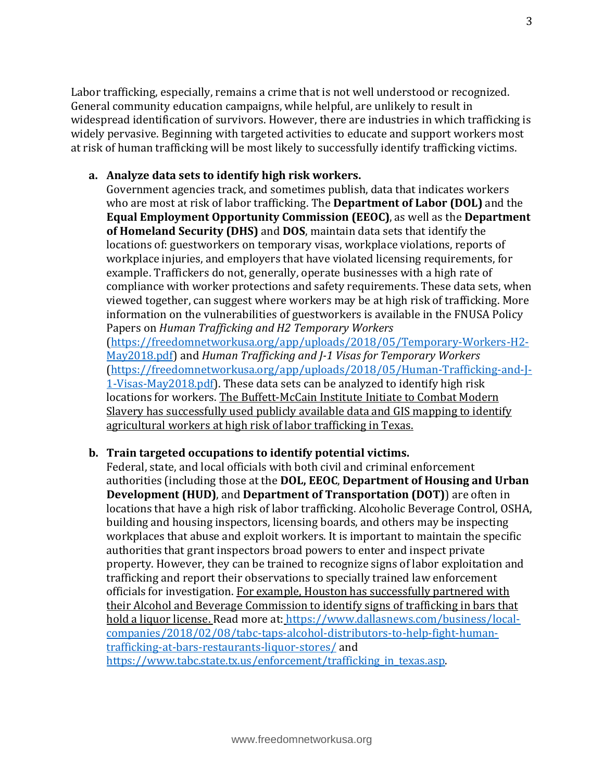Labor trafficking, especially, remains a crime that is not well understood or recognized. General community education campaigns, while helpful, are unlikely to result in widespread identification of survivors. However, there are industries in which trafficking is widely pervasive. Beginning with targeted activities to educate and support workers most at risk of human trafficking will be most likely to successfully identify trafficking victims.

#### **a. Analyze data sets to identify high risk workers.**

Government agencies track, and sometimes publish, data that indicates workers who are most at risk of labor trafficking. The **Department of Labor (DOL)** and the **Equal Employment Opportunity Commission (EEOC)**, as well as the **Department of Homeland Security (DHS)** and **DOS**, maintain data sets that identify the locations of: guestworkers on temporary visas, workplace violations, reports of workplace injuries, and employers that have violated licensing requirements, for example. Traffickers do not, generally, operate businesses with a high rate of compliance with worker protections and safety requirements. These data sets, when viewed together, can suggest where workers may be at high risk of trafficking. More information on the vulnerabilities of guestworkers is available in the FNUSA Policy Papers on *Human Trafficking and H2 Temporary Workers* [\(https://freedomnetworkusa.org/app/uploads/2018/05/Temporary-Workers-H2-](https://freedomnetworkusa.org/app/uploads/2018/05/Temporary-Workers-H2-May2018.pdf) [May2018.pdf\)](https://freedomnetworkusa.org/app/uploads/2018/05/Temporary-Workers-H2-May2018.pdf) and *Human Trafficking and J-1 Visas for Temporary Workers* [\(https://freedomnetworkusa.org/app/uploads/2018/05/Human-Trafficking-and-J-](https://freedomnetworkusa.org/app/uploads/2018/05/Human-Trafficking-and-J-1-Visas-May2018.pdf)[1-Visas-May2018.pdf\)](https://freedomnetworkusa.org/app/uploads/2018/05/Human-Trafficking-and-J-1-Visas-May2018.pdf). These data sets can be analyzed to identify high risk locations for workers. The Buffett-McCain Institute Initiate to Combat Modern Slavery has successfully used publicly available data and GIS mapping to identify

# **b. Train targeted occupations to identify potential victims.**

agricultural workers at high risk of labor trafficking in Texas.

Federal, state, and local officials with both civil and criminal enforcement authorities (including those at the **DOL, EEOC**, **Department of Housing and Urban Development (HUD)**, and **Department of Transportation (DOT)**) are often in locations that have a high risk of labor trafficking. Alcoholic Beverage Control, OSHA, building and housing inspectors, licensing boards, and others may be inspecting workplaces that abuse and exploit workers. It is important to maintain the specific authorities that grant inspectors broad powers to enter and inspect private property. However, they can be trained to recognize signs of labor exploitation and trafficking and report their observations to specially trained law enforcement officials for investigation. For example, Houston has successfully partnered with their Alcohol and Beverage Commission to identify signs of trafficking in bars that hold a liquor license. Read more at: [https://www.dallasnews.com/business/local](https://www.dallasnews.com/business/local-companies/2018/02/08/tabc-taps-alcohol-distributors-to-help-fight-human-trafficking-at-bars-restaurants-liquor-stores/)[companies/2018/02/08/tabc-taps-alcohol-distributors-to-help-fight-human](https://www.dallasnews.com/business/local-companies/2018/02/08/tabc-taps-alcohol-distributors-to-help-fight-human-trafficking-at-bars-restaurants-liquor-stores/)[trafficking-at-bars-restaurants-liquor-stores/](https://www.dallasnews.com/business/local-companies/2018/02/08/tabc-taps-alcohol-distributors-to-help-fight-human-trafficking-at-bars-restaurants-liquor-stores/) and https://www.tabc.state.tx.us/enforcement/trafficking in texas.asp.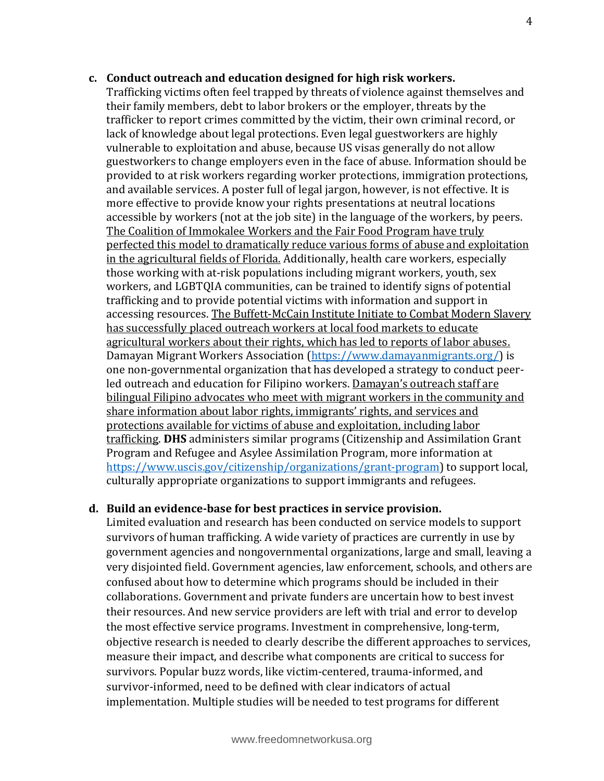# **c. Conduct outreach and education designed for high risk workers.** Trafficking victims often feel trapped by threats of violence against themselves and their family members, debt to labor brokers or the employer, threats by the trafficker to report crimes committed by the victim, their own criminal record, or lack of knowledge about legal protections. Even legal guestworkers are highly vulnerable to exploitation and abuse, because US visas generally do not allow guestworkers to change employers even in the face of abuse. Information should be provided to at risk workers regarding worker protections, immigration protections, and available services. A poster full of legal jargon, however, is not effective. It is more effective to provide know your rights presentations at neutral locations accessible by workers (not at the job site) in the language of the workers, by peers. The Coalition of Immokalee Workers and the Fair Food Program have truly perfected this model to dramatically reduce various forms of abuse and exploitation in the agricultural fields of Florida. Additionally, health care workers, especially those working with at-risk populations including migrant workers, youth, sex workers, and LGBTQIA communities, can be trained to identify signs of potential trafficking and to provide potential victims with information and support in accessing resources. The Buffett-McCain Institute Initiate to Combat Modern Slavery has successfully placed outreach workers at local food markets to educate agricultural workers about their rights, which has led to reports of labor abuses. Damayan Migrant Workers Association [\(https://www.damayanmigrants.org/\)](https://www.damayanmigrants.org/) is one non-governmental organization that has developed a strategy to conduct peerled outreach and education for Filipino workers. Damayan's outreach staff are bilingual Filipino advocates who meet with migrant workers in the community and share information about labor rights, immigrants' rights, and services and protections available for victims of abuse and exploitation, including labor trafficking. **DHS** administers similar programs (Citizenship and Assimilation Grant Program and Refugee and Asylee Assimilation Program, more information at [https://www.uscis.gov/citizenship/organizations/grant-program\)](https://www.uscis.gov/citizenship/organizations/grant-program) to support local, culturally appropriate organizations to support immigrants and refugees.

# **d. Build an evidence-base for best practices in service provision.**

Limited evaluation and research has been conducted on service models to support survivors of human trafficking. A wide variety of practices are currently in use by government agencies and nongovernmental organizations, large and small, leaving a very disjointed field. Government agencies, law enforcement, schools, and others are confused about how to determine which programs should be included in their collaborations. Government and private funders are uncertain how to best invest their resources. And new service providers are left with trial and error to develop the most effective service programs. Investment in comprehensive, long-term, objective research is needed to clearly describe the different approaches to services, measure their impact, and describe what components are critical to success for survivors. Popular buzz words, like victim-centered, trauma-informed, and survivor-informed, need to be defined with clear indicators of actual implementation. Multiple studies will be needed to test programs for different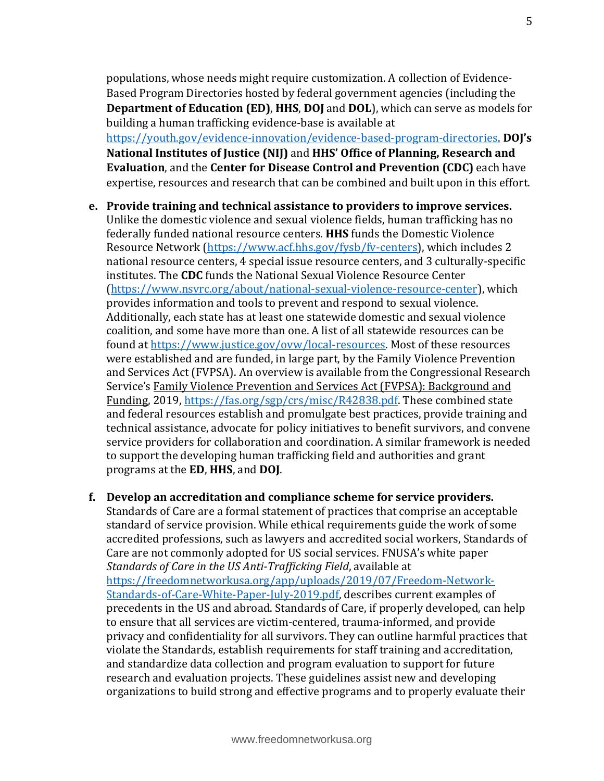populations, whose needs might require customization. A collection of Evidence-Based Program Directories hosted by federal government agencies (including the **Department of Education (ED)**, **HHS**, **DOJ** and **DOL**), which can serve as models for building a human trafficking evidence-base is available at [https://youth.gov/evidence-innovation/evidence-based-program-directories.](https://youth.gov/evidence-innovation/evidence-based-program-directories) **DOJ's National Institutes of Justice (NIJ)** and **HHS' Office of Planning, Research and Evaluation**, and the **Center for Disease Control and Prevention (CDC)** each have expertise, resources and research that can be combined and built upon in this effort.

# **e. Provide training and technical assistance to providers to improve services.** Unlike the domestic violence and sexual violence fields, human trafficking has no federally funded national resource centers. **HHS** funds the Domestic Violence Resource Network [\(https://www.acf.hhs.gov/fysb/fv-centers\)](https://www.acf.hhs.gov/fysb/fv-centers), which includes 2 national resource centers, 4 special issue resource centers, and 3 culturally-specific institutes. The **CDC** funds the National Sexual Violence Resource Center [\(https://www.nsvrc.org/about/national-sexual-violence-resource-center\)](https://www.nsvrc.org/about/national-sexual-violence-resource-center), which provides information and tools to prevent and respond to sexual violence. Additionally, each state has at least one statewide domestic and sexual violence coalition, and some have more than one. A list of all statewide resources can be found at [https://www.justice.gov/ovw/local-resources.](https://www.justice.gov/ovw/local-resources) Most of these resources were established and are funded, in large part, by the Family Violence Prevention and Services Act (FVPSA). An overview is available from the Congressional Research Service's Family Violence Prevention and Services Act (FVPSA): Background and Funding, 2019, [https://fas.org/sgp/crs/misc/R42838.pdf.](https://fas.org/sgp/crs/misc/R42838.pdf) These combined state and federal resources establish and promulgate best practices, provide training and technical assistance, advocate for policy initiatives to benefit survivors, and convene service providers for collaboration and coordination. A similar framework is needed to support the developing human trafficking field and authorities and grant programs at the **ED**, **HHS**, and **DOJ**.

# **f. Develop an accreditation and compliance scheme for service providers.**

Standards of Care are a formal statement of practices that comprise an acceptable standard of service provision. While ethical requirements guide the work of some accredited professions, such as lawyers and accredited social workers, Standards of Care are not commonly adopted for US social services. FNUSA's white paper *Standards of Care in the US Anti-Trafficking Field*, available at [https://freedomnetworkusa.org/app/uploads/2019/07/Freedom-Network-](https://freedomnetworkusa.org/app/uploads/2019/07/Freedom-Network-Standards-of-Care-White-Paper-July-2019.pdf)[Standards-of-Care-White-Paper-July-2019.pdf,](https://freedomnetworkusa.org/app/uploads/2019/07/Freedom-Network-Standards-of-Care-White-Paper-July-2019.pdf) describes current examples of precedents in the US and abroad. Standards of Care, if properly developed, can help to ensure that all services are victim-centered, trauma-informed, and provide privacy and confidentiality for all survivors. They can outline harmful practices that violate the Standards, establish requirements for staff training and accreditation, and standardize data collection and program evaluation to support for future research and evaluation projects. These guidelines assist new and developing organizations to build strong and effective programs and to properly evaluate their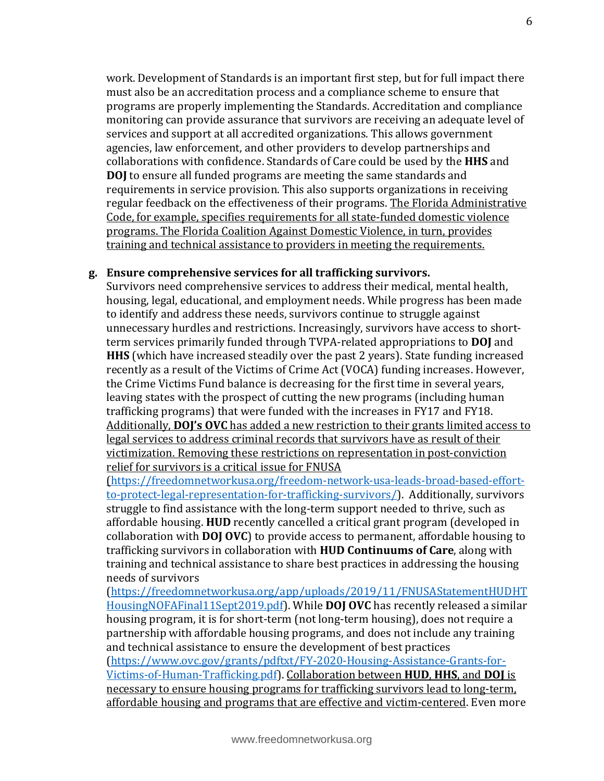work. Development of Standards is an important first step, but for full impact there must also be an accreditation process and a compliance scheme to ensure that programs are properly implementing the Standards. Accreditation and compliance monitoring can provide assurance that survivors are receiving an adequate level of services and support at all accredited organizations. This allows government agencies, law enforcement, and other providers to develop partnerships and collaborations with confidence. Standards of Care could be used by the **HHS** and **DOJ** to ensure all funded programs are meeting the same standards and requirements in service provision. This also supports organizations in receiving regular feedback on the effectiveness of their programs. The Florida Administrative Code, for example, specifies requirements for all state-funded domestic violence programs. The Florida Coalition Against Domestic Violence, in turn, provides training and technical assistance to providers in meeting the requirements.

#### **g. Ensure comprehensive services for all trafficking survivors.**

Survivors need comprehensive services to address their medical, mental health, housing, legal, educational, and employment needs. While progress has been made to identify and address these needs, survivors continue to struggle against unnecessary hurdles and restrictions. Increasingly, survivors have access to shortterm services primarily funded through TVPA-related appropriations to **DOJ** and **HHS** (which have increased steadily over the past 2 years). State funding increased recently as a result of the Victims of Crime Act (VOCA) funding increases. However, the Crime Victims Fund balance is decreasing for the first time in several years, leaving states with the prospect of cutting the new programs (including human trafficking programs) that were funded with the increases in FY17 and FY18. Additionally, **DOJ's OVC** has added a new restriction to their grants limited access to legal services to address criminal records that survivors have as result of their victimization. Removing these restrictions on representation in post-conviction relief for survivors is a critical issue for FNUSA

[\(https://freedomnetworkusa.org/freedom-network-usa-leads-broad-based-effort](https://freedomnetworkusa.org/freedom-network-usa-leads-broad-based-effort-to-protect-legal-representation-for-trafficking-survivors/)[to-protect-legal-representation-for-trafficking-survivors/\)](https://freedomnetworkusa.org/freedom-network-usa-leads-broad-based-effort-to-protect-legal-representation-for-trafficking-survivors/). Additionally, survivors struggle to find assistance with the long-term support needed to thrive, such as affordable housing. **HUD** recently cancelled a critical grant program (developed in collaboration with **DOJ OVC**) to provide access to permanent, affordable housing to trafficking survivors in collaboration with **HUD Continuums of Care**, along with training and technical assistance to share best practices in addressing the housing needs of survivors

[\(https://freedomnetworkusa.org/app/uploads/2019/11/FNUSAStatementHUDHT](https://freedomnetworkusa.org/app/uploads/2019/11/FNUSAStatementHUDHTHousingNOFAFinal11Sept2019.pdf) [HousingNOFAFinal11Sept2019.pdf\)](https://freedomnetworkusa.org/app/uploads/2019/11/FNUSAStatementHUDHTHousingNOFAFinal11Sept2019.pdf). While **DOJ OVC** has recently released a similar housing program, it is for short-term (not long-term housing), does not require a partnership with affordable housing programs, and does not include any training and technical assistance to ensure the development of best practices [\(https://www.ovc.gov/grants/pdftxt/FY-2020-Housing-Assistance-Grants-for-](https://www.ovc.gov/grants/pdftxt/FY-2020-Housing-Assistance-Grants-for-Victims-of-Human-Trafficking.pdf)

[Victims-of-Human-Trafficking.pdf\)](https://www.ovc.gov/grants/pdftxt/FY-2020-Housing-Assistance-Grants-for-Victims-of-Human-Trafficking.pdf). Collaboration between **HUD**, **HHS**, and **DOJ** is necessary to ensure housing programs for trafficking survivors lead to long-term, affordable housing and programs that are effective and victim-centered. Even more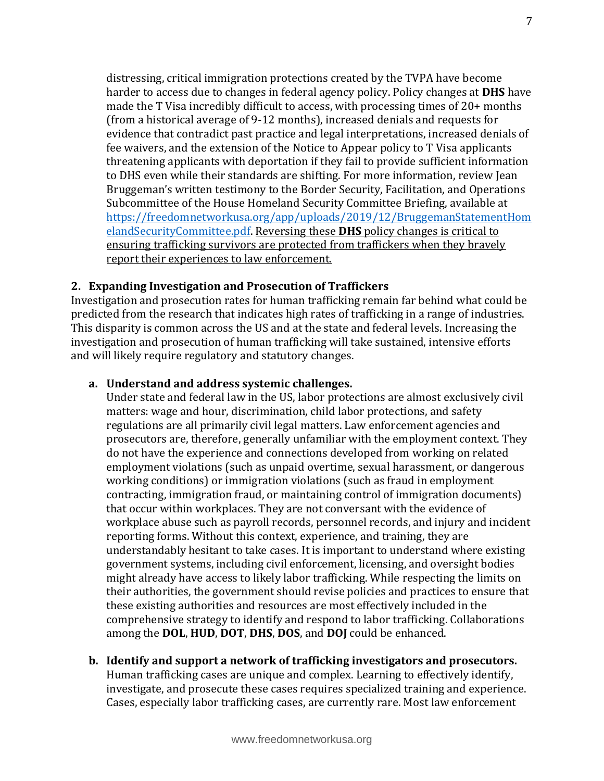distressing, critical immigration protections created by the TVPA have become harder to access due to changes in federal agency policy. Policy changes at **DHS** have made the T Visa incredibly difficult to access, with processing times of 20+ months (from a historical average of 9-12 months), increased denials and requests for evidence that contradict past practice and legal interpretations, increased denials of fee waivers, and the extension of the Notice to Appear policy to T Visa applicants threatening applicants with deportation if they fail to provide sufficient information to DHS even while their standards are shifting. For more information, review Jean Bruggeman's written testimony to the Border Security, Facilitation, and Operations Subcommittee of the House Homeland Security Committee Briefing, available at [https://freedomnetworkusa.org/app/uploads/2019/12/BruggemanStatementHom](https://freedomnetworkusa.org/app/uploads/2019/12/BruggemanStatementHomelandSecurityCommittee.pdf) [elandSecurityCommittee.pdf.](https://freedomnetworkusa.org/app/uploads/2019/12/BruggemanStatementHomelandSecurityCommittee.pdf) Reversing these **DHS** policy changes is critical to ensuring trafficking survivors are protected from traffickers when they bravely report their experiences to law enforcement.

# **2. Expanding Investigation and Prosecution of Traffickers**

Investigation and prosecution rates for human trafficking remain far behind what could be predicted from the research that indicates high rates of trafficking in a range of industries. This disparity is common across the US and at the state and federal levels. Increasing the investigation and prosecution of human trafficking will take sustained, intensive efforts and will likely require regulatory and statutory changes.

# **a. Understand and address systemic challenges.**

Under state and federal law in the US, labor protections are almost exclusively civil matters: wage and hour, discrimination, child labor protections, and safety regulations are all primarily civil legal matters. Law enforcement agencies and prosecutors are, therefore, generally unfamiliar with the employment context. They do not have the experience and connections developed from working on related employment violations (such as unpaid overtime, sexual harassment, or dangerous working conditions) or immigration violations (such as fraud in employment contracting, immigration fraud, or maintaining control of immigration documents) that occur within workplaces. They are not conversant with the evidence of workplace abuse such as payroll records, personnel records, and injury and incident reporting forms. Without this context, experience, and training, they are understandably hesitant to take cases. It is important to understand where existing government systems, including civil enforcement, licensing, and oversight bodies might already have access to likely labor trafficking. While respecting the limits on their authorities, the government should revise policies and practices to ensure that these existing authorities and resources are most effectively included in the comprehensive strategy to identify and respond to labor trafficking. Collaborations among the **DOL**, **HUD**, **DOT**, **DHS**, **DOS**, and **DOJ** could be enhanced.

# **b. Identify and support a network of trafficking investigators and prosecutors.** Human trafficking cases are unique and complex. Learning to effectively identify, investigate, and prosecute these cases requires specialized training and experience. Cases, especially labor trafficking cases, are currently rare. Most law enforcement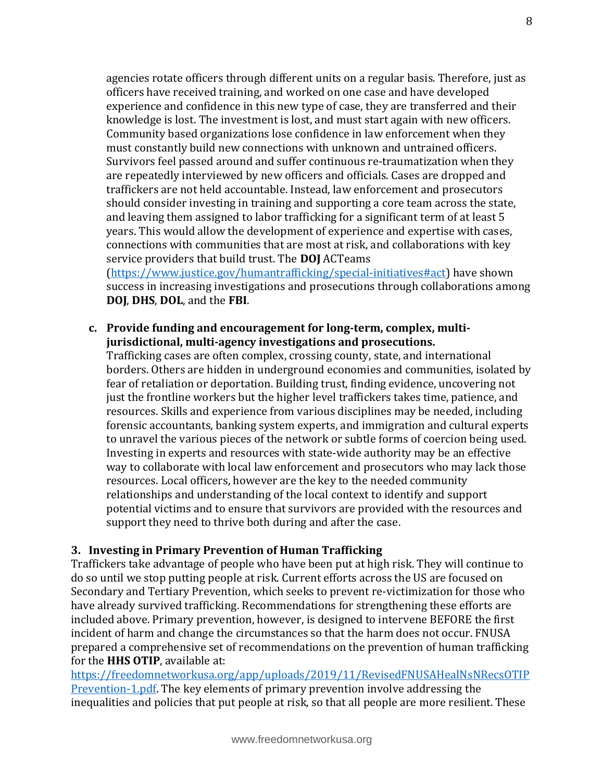agencies rotate officers through different units on a regular basis. Therefore, just as officers have received training, and worked on one case and have developed experience and confidence in this new type of case, they are transferred and their knowledge is lost. The investment is lost, and must start again with new officers. Community based organizations lose confidence in law enforcement when they must constantly build new connections with unknown and untrained officers. Survivors feel passed around and suffer continuous re-traumatization when they are repeatedly interviewed by new officers and officials. Cases are dropped and traffickers are not held accountable. Instead, law enforcement and prosecutors should consider investing in training and supporting a core team across the state, and leaving them assigned to labor trafficking for a significant term of at least 5 years. This would allow the development of experience and expertise with cases, connections with communities that are most at risk, and collaborations with key service providers that build trust. The **DOJ** ACTeams

[\(https://www.justice.gov/humantrafficking/special-initiatives#act\)](https://www.justice.gov/humantrafficking/special-initiatives#act) have shown success in increasing investigations and prosecutions through collaborations among **DOJ**, **DHS**, **DOL**, and the **FBI**.

#### **c. Provide funding and encouragement for long-term, complex, multijurisdictional, multi-agency investigations and prosecutions.**

Trafficking cases are often complex, crossing county, state, and international borders. Others are hidden in underground economies and communities, isolated by fear of retaliation or deportation. Building trust, finding evidence, uncovering not just the frontline workers but the higher level traffickers takes time, patience, and resources. Skills and experience from various disciplines may be needed, including forensic accountants, banking system experts, and immigration and cultural experts to unravel the various pieces of the network or subtle forms of coercion being used. Investing in experts and resources with state-wide authority may be an effective way to collaborate with local law enforcement and prosecutors who may lack those resources. Local officers, however are the key to the needed community relationships and understanding of the local context to identify and support potential victims and to ensure that survivors are provided with the resources and support they need to thrive both during and after the case.

# **3. Investing in Primary Prevention of Human Trafficking**

Traffickers take advantage of people who have been put at high risk. They will continue to do so until we stop putting people at risk. Current efforts across the US are focused on Secondary and Tertiary Prevention, which seeks to prevent re-victimization for those who have already survived trafficking. Recommendations for strengthening these efforts are included above. Primary prevention, however, is designed to intervene BEFORE the first incident of harm and change the circumstances so that the harm does not occur. FNUSA prepared a comprehensive set of recommendations on the prevention of human trafficking for the **HHS OTIP**, available at:

[https://freedomnetworkusa.org/app/uploads/2019/11/RevisedFNUSAHealNsNRecsOTIP](https://freedomnetworkusa.org/app/uploads/2019/11/RevisedFNUSAHealNsNRecsOTIPPrevention-1.pdf) [Prevention-1.pdf.](https://freedomnetworkusa.org/app/uploads/2019/11/RevisedFNUSAHealNsNRecsOTIPPrevention-1.pdf) The key elements of primary prevention involve addressing the inequalities and policies that put people at risk, so that all people are more resilient. These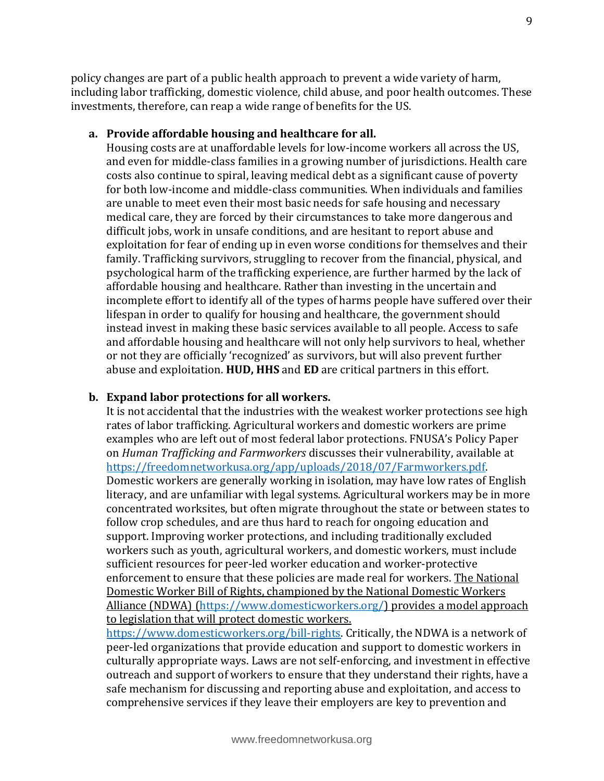policy changes are part of a public health approach to prevent a wide variety of harm, including labor trafficking, domestic violence, child abuse, and poor health outcomes. These investments, therefore, can reap a wide range of benefits for the US.

#### **a. Provide affordable housing and healthcare for all.**

Housing costs are at unaffordable levels for low-income workers all across the US, and even for middle-class families in a growing number of jurisdictions. Health care costs also continue to spiral, leaving medical debt as a significant cause of poverty for both low-income and middle-class communities. When individuals and families are unable to meet even their most basic needs for safe housing and necessary medical care, they are forced by their circumstances to take more dangerous and difficult jobs, work in unsafe conditions, and are hesitant to report abuse and exploitation for fear of ending up in even worse conditions for themselves and their family. Trafficking survivors, struggling to recover from the financial, physical, and psychological harm of the trafficking experience, are further harmed by the lack of affordable housing and healthcare. Rather than investing in the uncertain and incomplete effort to identify all of the types of harms people have suffered over their lifespan in order to qualify for housing and healthcare, the government should instead invest in making these basic services available to all people. Access to safe and affordable housing and healthcare will not only help survivors to heal, whether or not they are officially 'recognized' as survivors, but will also prevent further abuse and exploitation. **HUD, HHS** and **ED** are critical partners in this effort.

# **b. Expand labor protections for all workers.**

It is not accidental that the industries with the weakest worker protections see high rates of labor trafficking. Agricultural workers and domestic workers are prime examples who are left out of most federal labor protections. FNUSA's Policy Paper on *Human Trafficking and Farmworkers* discusses their vulnerability, available at [https://freedomnetworkusa.org/app/uploads/2018/07/Farmworkers.pdf.](https://freedomnetworkusa.org/app/uploads/2018/07/Farmworkers.pdf)  Domestic workers are generally working in isolation, may have low rates of English literacy, and are unfamiliar with legal systems. Agricultural workers may be in more concentrated worksites, but often migrate throughout the state or between states to follow crop schedules, and are thus hard to reach for ongoing education and support. Improving worker protections, and including traditionally excluded workers such as youth, agricultural workers, and domestic workers, must include sufficient resources for peer-led worker education and worker-protective enforcement to ensure that these policies are made real for workers. The National Domestic Worker Bill of Rights, championed by the National Domestic Workers Alliance (NDWA) [\(https://www.domesticworkers.org/\)](https://www.domesticworkers.org/) provides a model approach to legislation that will protect domestic workers.

[https://www.domesticworkers.org/bill-rights.](https://www.domesticworkers.org/bill-rights) Critically, the NDWA is a network of peer-led organizations that provide education and support to domestic workers in culturally appropriate ways. Laws are not self-enforcing, and investment in effective outreach and support of workers to ensure that they understand their rights, have a safe mechanism for discussing and reporting abuse and exploitation, and access to comprehensive services if they leave their employers are key to prevention and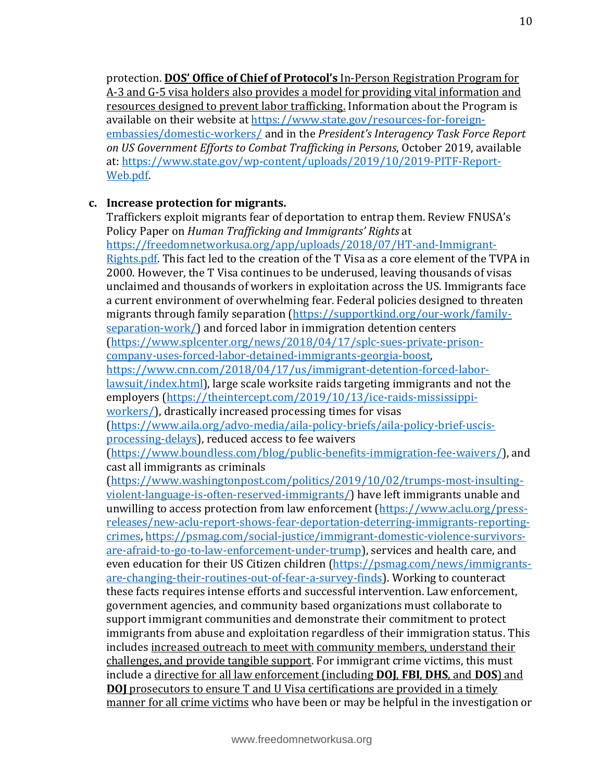protection. **DOS' Office of Chief of Protocol's** In-Person Registration Program for A-3 and G-5 visa holders also provides a model for providing vital information and resources designed to prevent labor trafficking. Information about the Program is available on their website at [https://www.state.gov/resources-for-foreign](https://www.state.gov/resources-for-foreign-embassies/domestic-workers/)[embassies/domestic-workers/](https://www.state.gov/resources-for-foreign-embassies/domestic-workers/) and in the *President's Interagency Task Force Report on US Government Efforts to Combat Trafficking in Persons*, October 2019, available at: [https://www.state.gov/wp-content/uploads/2019/10/2019-PITF-Report-](https://www.state.gov/wp-content/uploads/2019/10/2019-PITF-Report-Web.pdf)[Web.pdf.](https://www.state.gov/wp-content/uploads/2019/10/2019-PITF-Report-Web.pdf)

# **c. Increase protection for migrants.**

Traffickers exploit migrants fear of deportation to entrap them. Review FNUSA's Policy Paper on *Human Trafficking and Immigrants' Rights* at [https://freedomnetworkusa.org/app/uploads/2018/07/HT-and-Immigrant-](https://freedomnetworkusa.org/app/uploads/2018/07/HT-and-Immigrant-Rights.pdf)[Rights.pdf.](https://freedomnetworkusa.org/app/uploads/2018/07/HT-and-Immigrant-Rights.pdf) This fact led to the creation of the T Visa as a core element of the TVPA in 2000. However, the T Visa continues to be underused, leaving thousands of visas unclaimed and thousands of workers in exploitation across the US. Immigrants face a current environment of overwhelming fear. Federal policies designed to threaten migrants through family separation [\(https://supportkind.org/our-work/family](https://supportkind.org/our-work/family-separation-work/)[separation-work/\)](https://supportkind.org/our-work/family-separation-work/) and forced labor in immigration detention centers [\(https://www.splcenter.org/news/2018/04/17/splc-sues-private-prison](https://www.splcenter.org/news/2018/04/17/splc-sues-private-prison-company-uses-forced-labor-detained-immigrants-georgia-boost)[company-uses-forced-labor-detained-immigrants-georgia-boost,](https://www.splcenter.org/news/2018/04/17/splc-sues-private-prison-company-uses-forced-labor-detained-immigrants-georgia-boost) [https://www.cnn.com/2018/04/17/us/immigrant-detention-forced-labor](https://www.cnn.com/2018/04/17/us/immigrant-detention-forced-labor-lawsuit/index.html)[lawsuit/index.html\)](https://www.cnn.com/2018/04/17/us/immigrant-detention-forced-labor-lawsuit/index.html), large scale worksite raids targeting immigrants and not the employers [\(https://theintercept.com/2019/10/13/ice-raids-mississippi](https://theintercept.com/2019/10/13/ice-raids-mississippi-workers/)[workers/\)](https://theintercept.com/2019/10/13/ice-raids-mississippi-workers/), drastically increased processing times for visas [\(https://www.aila.org/advo-media/aila-policy-briefs/aila-policy-brief-uscis](https://www.aila.org/advo-media/aila-policy-briefs/aila-policy-brief-uscis-processing-delays)[processing-delays\)](https://www.aila.org/advo-media/aila-policy-briefs/aila-policy-brief-uscis-processing-delays), reduced access to fee waivers [\(https://www.boundless.com/blog/public-benefits-immigration-fee-waivers/\)](https://www.boundless.com/blog/public-benefits-immigration-fee-waivers/), and cast all immigrants as criminals [\(https://www.washingtonpost.com/politics/2019/10/02/trumps-most-insulting](https://www.washingtonpost.com/politics/2019/10/02/trumps-most-insulting-violent-language-is-often-reserved-immigrants/)[violent-language-is-often-reserved-immigrants/\)](https://www.washingtonpost.com/politics/2019/10/02/trumps-most-insulting-violent-language-is-often-reserved-immigrants/) have left immigrants unable and unwilling to access protection from law enforcement [\(https://www.aclu.org/press](https://www.aclu.org/press-releases/new-aclu-report-shows-fear-deportation-deterring-immigrants-reporting-crimes)[releases/new-aclu-report-shows-fear-deportation-deterring-immigrants-reporting](https://www.aclu.org/press-releases/new-aclu-report-shows-fear-deportation-deterring-immigrants-reporting-crimes)[crimes,](https://www.aclu.org/press-releases/new-aclu-report-shows-fear-deportation-deterring-immigrants-reporting-crimes) [https://psmag.com/social-justice/immigrant-domestic-violence-survivors](https://psmag.com/social-justice/immigrant-domestic-violence-survivors-are-afraid-to-go-to-law-enforcement-under-trump)[are-afraid-to-go-to-law-enforcement-under-trump\)](https://psmag.com/social-justice/immigrant-domestic-violence-survivors-are-afraid-to-go-to-law-enforcement-under-trump), services and health care, and even education for their US Citizen children [\(https://psmag.com/news/immigrants](https://psmag.com/news/immigrants-are-changing-their-routines-out-of-fear-a-survey-finds)[are-changing-their-routines-out-of-fear-a-survey-finds\)](https://psmag.com/news/immigrants-are-changing-their-routines-out-of-fear-a-survey-finds). Working to counteract these facts requires intense efforts and successful intervention. Law enforcement, government agencies, and community based organizations must collaborate to support immigrant communities and demonstrate their commitment to protect immigrants from abuse and exploitation regardless of their immigration status. This includes increased outreach to meet with community members, understand their challenges, and provide tangible support. For immigrant crime victims, this must include a directive for all law enforcement (including **DOJ**, **FBI**, **DHS**, and **DOS**) and **DOJ** prosecutors to ensure T and U Visa certifications are provided in a timely manner for all crime victims who have been or may be helpful in the investigation or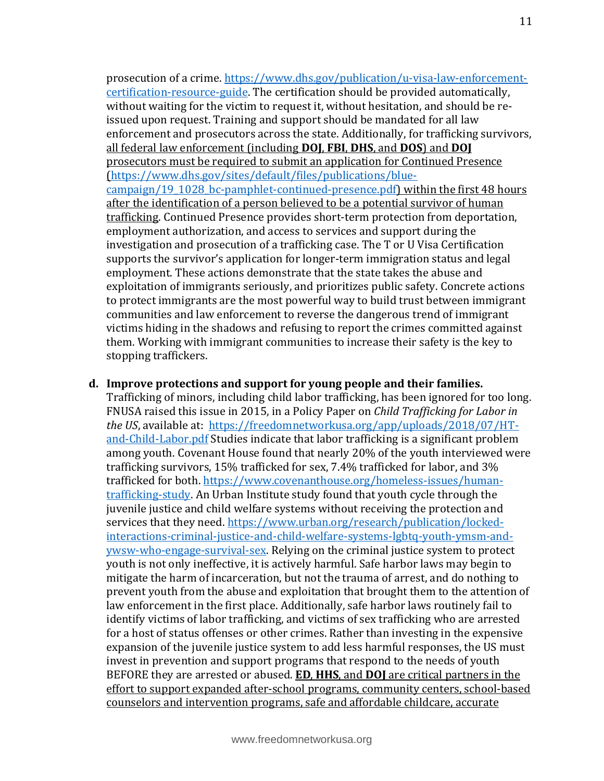prosecution of a crime. [https://www.dhs.gov/publication/u-visa-law-enforcement](https://www.dhs.gov/publication/u-visa-law-enforcement-certification-resource-guide)[certification-resource-guide.](https://www.dhs.gov/publication/u-visa-law-enforcement-certification-resource-guide) The certification should be provided automatically, without waiting for the victim to request it, without hesitation, and should be reissued upon request. Training and support should be mandated for all law enforcement and prosecutors across the state. Additionally, for trafficking survivors, all federal law enforcement (including **DOJ**, **FBI**, **DHS**, and **DOS**) and **DOJ** prosecutors must be required to submit an application for Continued Presence [\(https://www.dhs.gov/sites/default/files/publications/blue](https://www.dhs.gov/sites/default/files/publications/blue-campaign/19_1028_bc-pamphlet-continued-presence.pdf)[campaign/19\\_1028\\_bc-pamphlet-continued-presence.pdf\)](https://www.dhs.gov/sites/default/files/publications/blue-campaign/19_1028_bc-pamphlet-continued-presence.pdf) within the first 48 hours after the identification of a person believed to be a potential survivor of human trafficking. Continued Presence provides short-term protection from deportation, employment authorization, and access to services and support during the investigation and prosecution of a trafficking case. The T or U Visa Certification supports the survivor's application for longer-term immigration status and legal employment. These actions demonstrate that the state takes the abuse and exploitation of immigrants seriously, and prioritizes public safety. Concrete actions to protect immigrants are the most powerful way to build trust between immigrant communities and law enforcement to reverse the dangerous trend of immigrant victims hiding in the shadows and refusing to report the crimes committed against them. Working with immigrant communities to increase their safety is the key to stopping traffickers.

#### **d. Improve protections and support for young people and their families.**

Trafficking of minors, including child labor trafficking, has been ignored for too long. FNUSA raised this issue in 2015, in a Policy Paper on *Child Trafficking for Labor in the US*, available at: [https://freedomnetworkusa.org/app/uploads/2018/07/HT](https://freedomnetworkusa.org/app/uploads/2018/07/HT-and-Child-Labor.pdf)[and-Child-Labor.pdf](https://freedomnetworkusa.org/app/uploads/2018/07/HT-and-Child-Labor.pdf) Studies indicate that labor trafficking is a significant problem among youth. Covenant House found that nearly 20% of the youth interviewed were trafficking survivors, 15% trafficked for sex, 7.4% trafficked for labor, and 3% trafficked for both. [https://www.covenanthouse.org/homeless-issues/human](https://www.covenanthouse.org/homeless-issues/human-trafficking-study)[trafficking-study.](https://www.covenanthouse.org/homeless-issues/human-trafficking-study) An Urban Institute study found that youth cycle through the juvenile justice and child welfare systems without receiving the protection and services that they need. [https://www.urban.org/research/publication/locked](https://www.urban.org/research/publication/locked-interactions-criminal-justice-and-child-welfare-systems-lgbtq-youth-ymsm-and-ywsw-who-engage-survival-sex)[interactions-criminal-justice-and-child-welfare-systems-lgbtq-youth-ymsm-and](https://www.urban.org/research/publication/locked-interactions-criminal-justice-and-child-welfare-systems-lgbtq-youth-ymsm-and-ywsw-who-engage-survival-sex)[ywsw-who-engage-survival-sex.](https://www.urban.org/research/publication/locked-interactions-criminal-justice-and-child-welfare-systems-lgbtq-youth-ymsm-and-ywsw-who-engage-survival-sex) Relying on the criminal justice system to protect youth is not only ineffective, it is actively harmful. Safe harbor laws may begin to mitigate the harm of incarceration, but not the trauma of arrest, and do nothing to prevent youth from the abuse and exploitation that brought them to the attention of law enforcement in the first place. Additionally, safe harbor laws routinely fail to identify victims of labor trafficking, and victims of sex trafficking who are arrested for a host of status offenses or other crimes. Rather than investing in the expensive expansion of the juvenile justice system to add less harmful responses, the US must invest in prevention and support programs that respond to the needs of youth BEFORE they are arrested or abused. **ED**, **HHS**, and **DOJ** are critical partners in the effort to support expanded after-school programs, community centers, school-based counselors and intervention programs, safe and affordable childcare, accurate